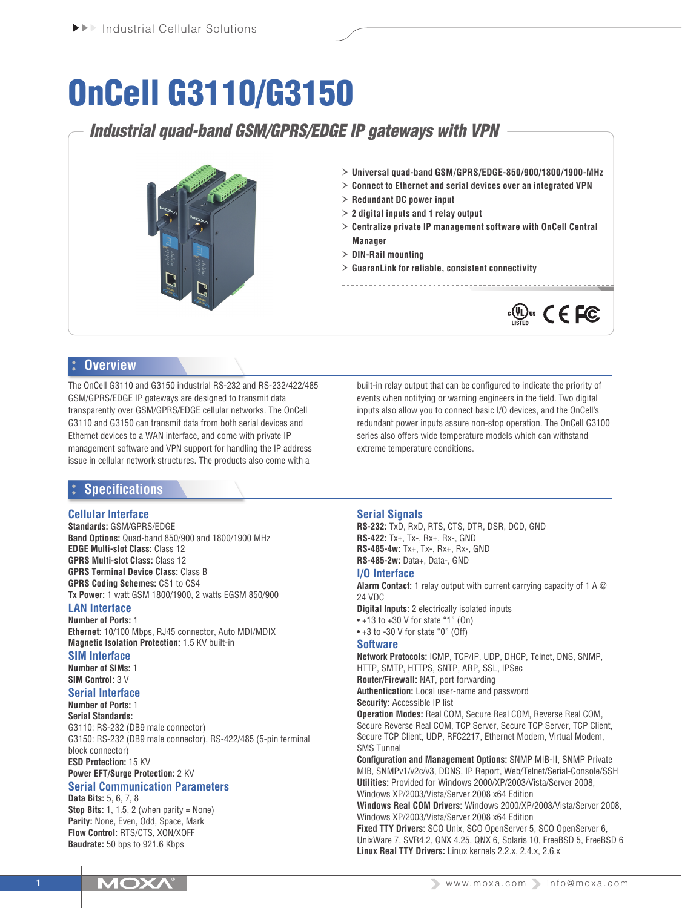# OnCell G3110/G3150

## *Industrial quad-band GSM/GPRS/EDGE IP gateways with VPN*



- › **Universal quad-band GSM/GPRS/EDGE-850/900/1800/1900-MHz**
- › **Connect to Ethernet and serial devices over an integrated VPN**
- › **Redundant DC power input**
- › **2 digital inputs and 1 relay output**
- › **Centralize private IP management software with OnCell Central Manager**
- › **DIN-Rail mounting**
- › **GuaranLink for reliable, consistent connectivity**



## **Overview**

The OnCell G3110 and G3150 industrial RS-232 and RS-232/422/485 GSM/GPRS/EDGE IP gateways are designed to transmit data transparently over GSM/GPRS/EDGE cellular networks. The OnCell G3110 and G3150 can transmit data from both serial devices and Ethernet devices to a WAN interface, and come with private IP management software and VPN support for handling the IP address issue in cellular network structures. The products also come with a

## **Specifications**

#### **Cellular Interface**

**Standards:** GSM/GPRS/EDGE **Band Options:** Quad-band 850/900 and 1800/1900 MHz **EDGE Multi-slot Class:** Class 12 **GPRS Multi-slot Class:** Class 12 **GPRS Terminal Device Class:** Class B **GPRS Coding Schemes:** CS1 to CS4 **Tx Power:** 1 watt GSM 1800/1900, 2 watts EGSM 850/900

## **LAN Interface**

**Number of Ports:** 1 **Ethernet:** 10/100 Mbps, RJ45 connector, Auto MDI/MDIX **Magnetic Isolation Protection:** 1.5 KV built-in

#### **SIM Interface**

**Number of SIMs:** 1 **SIM Control:** 3 V

## **Serial Interface**

**Number of Ports:** 1

**Serial Standards:** G3110: RS-232 (DB9 male connector) G3150: RS-232 (DB9 male connector), RS-422/485 (5-pin terminal block connector) **ESD Protection:** 15 KV

**Power EFT/Surge Protection:** 2 KV

#### **Serial Communication Parameters Data Bits:** 5, 6, 7, 8

**Stop Bits:** 1, 1.5, 2 (when parity  $=$  None) **Parity:** None, Even, Odd, Space, Mark **Flow Control:** RTS/CTS, XON/XOFF **Baudrate:** 50 bps to 921.6 Kbps

inputs also allow you to connect basic I/O devices, and the OnCell's redundant power inputs assure non-stop operation. The OnCell G3100 series also offers wide temperature models which can withstand extreme temperature conditions.

built-in relay output that can be configured to indicate the priority of events when notifying or warning engineers in the field. Two digital

#### **Serial Signals**

**RS-232:** TxD, RxD, RTS, CTS, DTR, DSR, DCD, GND **RS-422:** Tx+, Tx-, Rx+, Rx-, GND **RS-485-4w:** Tx+, Tx-, Rx+, Rx-, GND **RS-485-2w:** Data+, Data-, GND

#### **I/O Interface**

**Alarm Contact:** 1 relay output with current carrying capacity of 1 A @ 24 VDC

**Digital Inputs:** 2 electrically isolated inputs  $• +13$  to  $+30$  V for state "1" (On) • +3 to -30 V for state "0" (Off)

#### **Software**

**Network Protocols:** ICMP, TCP/IP, UDP, DHCP, Telnet, DNS, SNMP, HTTP, SMTP, HTTPS, SNTP, ARP, SSL, IPSec **Router/Firewall:** NAT, port forwarding **Authentication:** Local user-name and password **Security:** Accessible IP list **Operation Modes:** Real COM, Secure Real COM, Reverse Real COM, Secure Reverse Real COM, TCP Server, Secure TCP Server, TCP Client, Secure TCP Client, UDP, RFC2217, Ethernet Modem, Virtual Modem, SMS Tunnel **Configuration and Management Options:** SNMP MIB-II, SNMP Private

MIB, SNMPv1/v2c/v3, DDNS, IP Report, Web/Telnet/Serial-Console/SSH **Utilities:** Provided for Windows 2000/XP/2003/Vista/Server 2008, Windows XP/2003/Vista/Server 2008 x64 Edition **Windows Real COM Drivers:** Windows 2000/XP/2003/Vista/Server 2008,

Windows XP/2003/Vista/Server 2008 x64 Edition **Fixed TTY Drivers:** SCO Unix, SCO OpenServer 5, SCO OpenServer 6, UnixWare 7, SVR4.2, QNX 4.25, QNX 6, Solaris 10, FreeBSD 5, FreeBSD 6 **Linux Real TTY Drivers:** Linux kernels 2.2.x, 2.4.x, 2.6.x